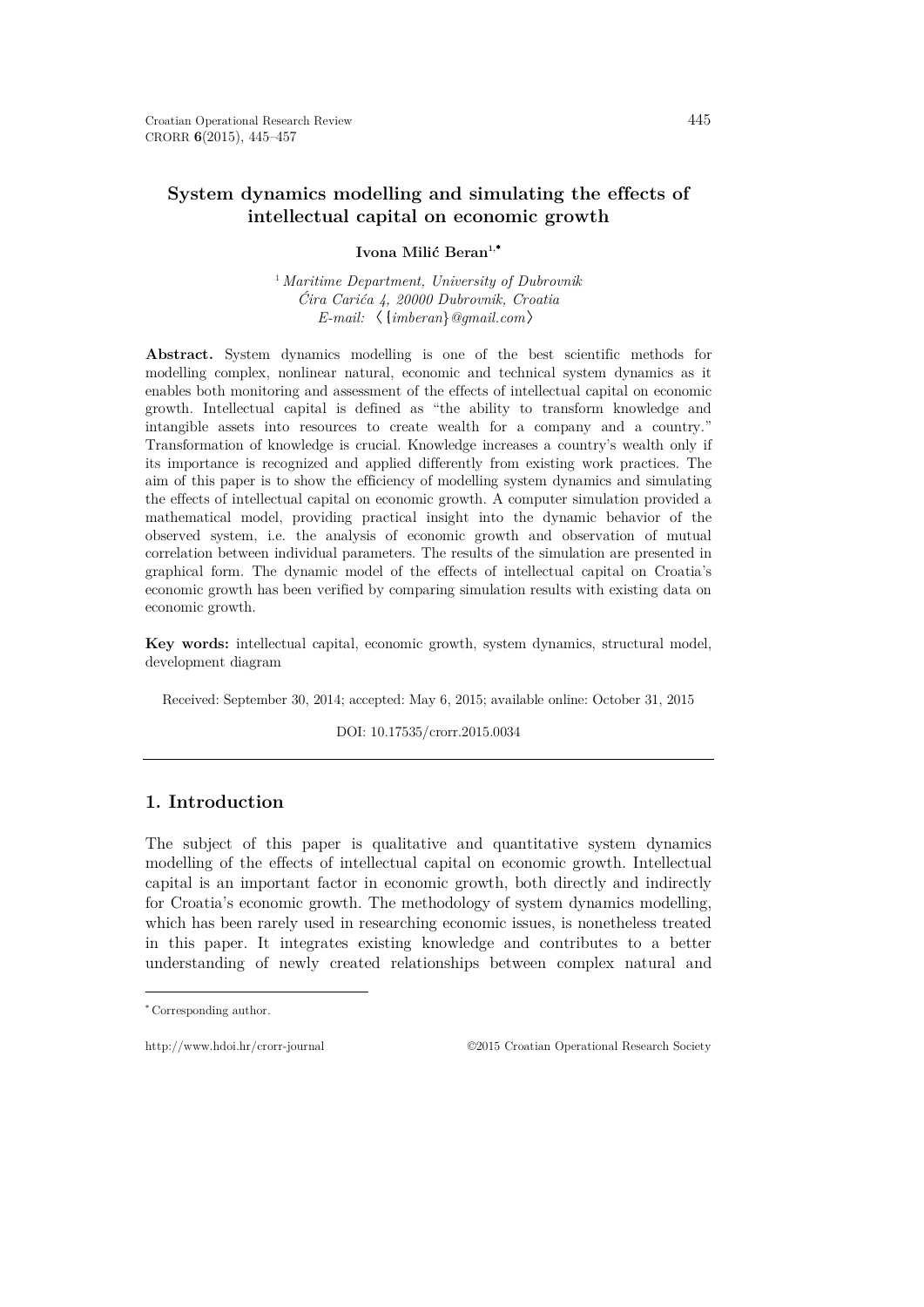# **System dynamics modelling and simulating the effects of intellectual capital on economic growth**

### Ivona Milić Beran<sup>1,</sup><sup>\*</sup>

<sup>1</sup>*Maritime Department, University of Dubrovnik Ćira Carića 4, 20000 Dubrovnik, Croatia E-mail:* 〈{*imberan*}*@gmail.com*〉

**Abstract.** System dynamics modelling is one of the best scientific methods for modelling complex, nonlinear natural, economic and technical system dynamics as it enables both monitoring and assessment of the effects of intellectual capital on economic growth. Intellectual capital is defined as "the ability to transform knowledge and intangible assets into resources to create wealth for a company and a country." Transformation of knowledge is crucial. Knowledge increases a country's wealth only if its importance is recognized and applied differently from existing work practices. The aim of this paper is to show the efficiency of modelling system dynamics and simulating the effects of intellectual capital on economic growth. A computer simulation provided a mathematical model, providing practical insight into the dynamic behavior of the observed system, i.e. the analysis of economic growth and observation of mutual correlation between individual parameters. The results of the simulation are presented in graphical form. The dynamic model of the effects of intellectual capital on Croatia's economic growth has been verified by comparing simulation results with existing data on economic growth.

**Key words:** intellectual capital, economic growth, system dynamics, structural model, development diagram

Received: September 30, 2014; accepted: May 6, 2015; available online: October 31, 2015

DOI: 10.17535/crorr.2015.0034

## **1. Introduction**

The subject of this paper is qualitative and quantitative system dynamics modelling of the effects of intellectual capital on economic growth. Intellectual capital is an important factor in economic growth, both directly and indirectly for Croatia's economic growth. The methodology of system dynamics modelling, which has been rarely used in researching economic issues, is nonetheless treated in this paper. It integrates existing knowledge and contributes to a better understanding of newly created relationships between complex natural and

 $\overline{a}$ 

http://www.hdoi.hr/crorr-journal ©2015 Croatian Operational Research Society

<span id="page-0-0"></span><sup>∗</sup> Corresponding author.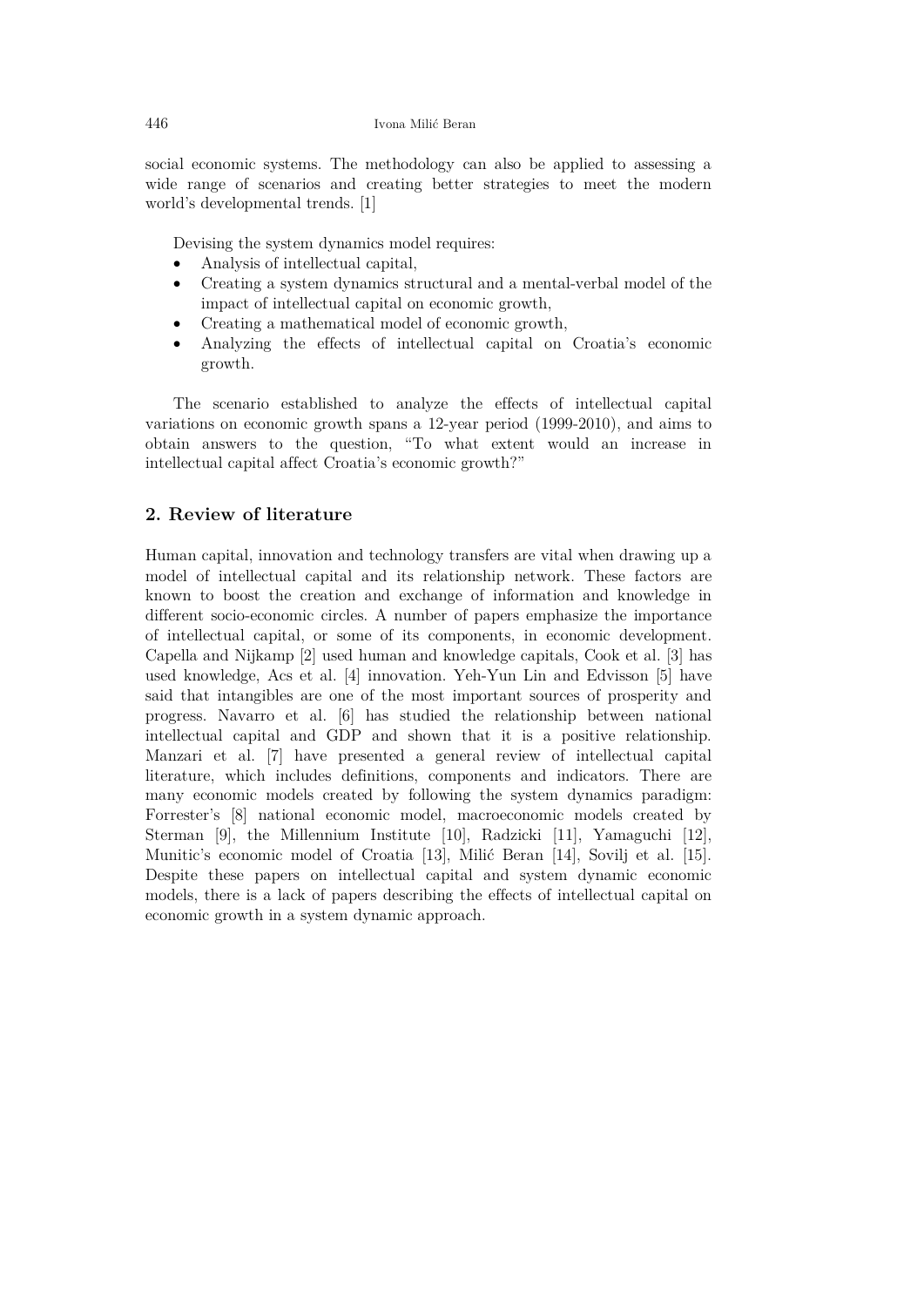social economic systems. The methodology can also be applied to assessing a wide range of scenarios and creating better strategies to meet the modern world's developmental trends. [1]

Devising the system dynamics model requires:

- Analysis of intellectual capital,
- Creating a system dynamics structural and a mental-verbal model of the impact of intellectual capital on economic growth,
- Creating a mathematical model of economic growth,
- Analyzing the effects of intellectual capital on Croatia's economic growth.

The scenario established to analyze the effects of intellectual capital variations on economic growth spans a 12-year period (1999-2010), and aims to obtain answers to the question, "To what extent would an increase in intellectual capital affect Croatia's economic growth?"

### **2. Review of literature**

Human capital, innovation and technology transfers are vital when drawing up a model of intellectual capital and its relationship network. These factors are known to boost the creation and exchange of information and knowledge in different socio-economic circles. A number of papers emphasize the importance of intellectual capital, or some of its components, in economic development. Capella and Nijkamp [2] used human and knowledge capitals, Cook et al. [3] has used knowledge, Acs et al. [4] innovation. Yeh-Yun Lin and Edvisson [5] have said that intangibles are one of the most important sources of prosperity and progress. Navarro et al. [6] has studied the relationship between national intellectual capital and GDP and shown that it is a positive relationship. Manzari et al. [7] have presented a general review of intellectual capital literature, which includes definitions, components and indicators. There are many economic models created by following the system dynamics paradigm: Forrester's [8] national economic model, macroeconomic models created by Sterman [9], the Millennium Institute [10], Radzicki [11], Yamaguchi [12], Munitic's economic model of Croatia [13], Milić Beran [14], Sovilj et al. [15]. Despite these papers on intellectual capital and system dynamic economic models, there is a lack of papers describing the effects of intellectual capital on economic growth in a system dynamic approach.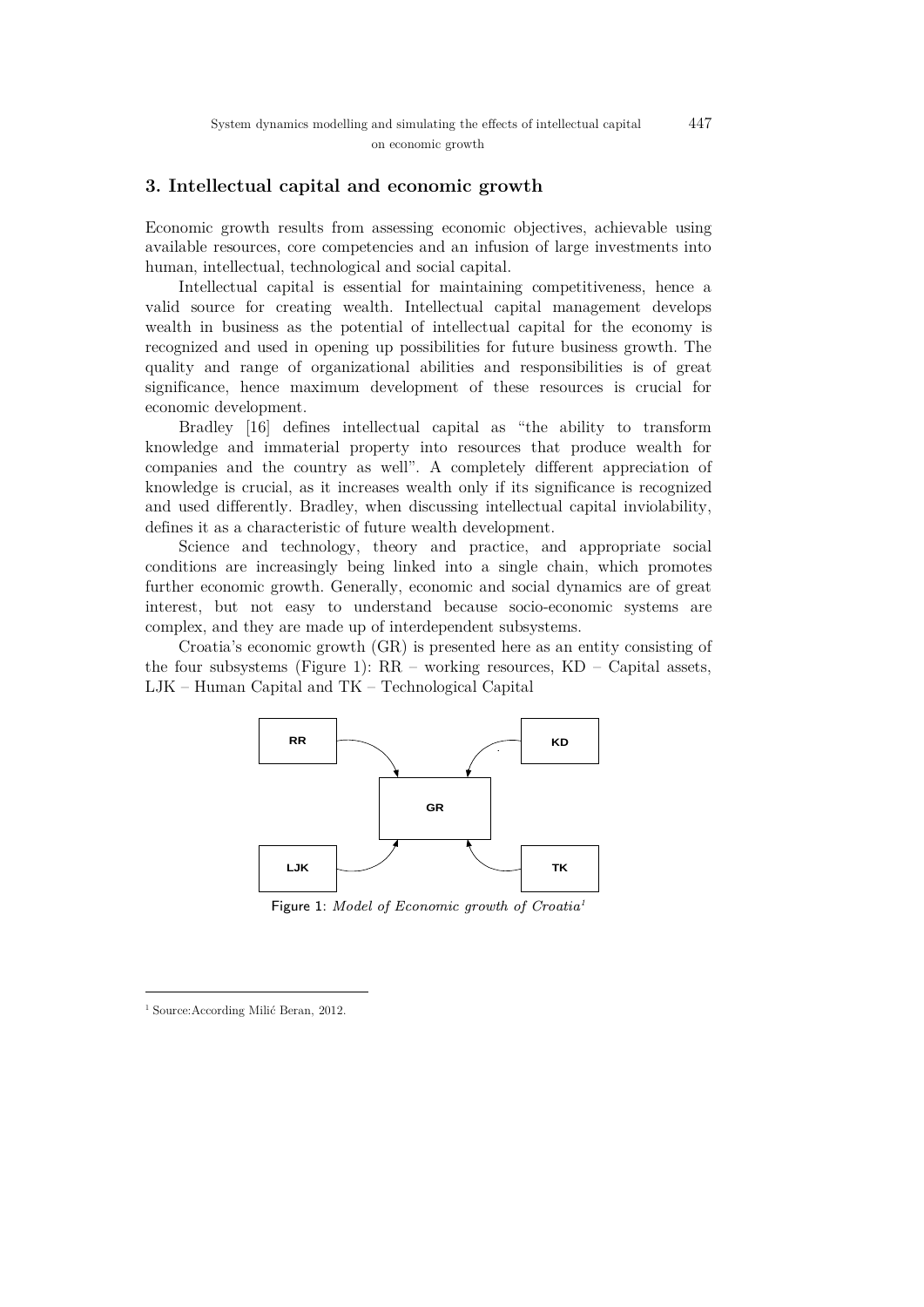### **3. Intellectual capital and economic growth**

Economic growth results from assessing economic objectives, achievable using available resources, core competencies and an infusion of large investments into human, intellectual, technological and social capital.

Intellectual capital is essential for maintaining competitiveness, hence a valid source for creating wealth. Intellectual capital management develops wealth in business as the potential of intellectual capital for the economy is recognized and used in opening up possibilities for future business growth. The quality and range of organizational abilities and responsibilities is of great significance, hence maximum development of these resources is crucial for economic development.

Bradley [16] defines intellectual capital as "the ability to transform knowledge and immaterial property into resources that produce wealth for companies and the country as well". A completely different appreciation of knowledge is crucial, as it increases wealth only if its significance is recognized and used differently. Bradley, when discussing intellectual capital inviolability, defines it as a characteristic of future wealth development.

Science and technology, theory and practice, and appropriate social conditions are increasingly being linked into a single chain, which promotes further economic growth. Generally, economic and social dynamics are of great interest, but not easy to understand because socio-economic systems are complex, and they are made up of interdependent subsystems.

Croatia's economic growth (GR) is presented here as an entity consisting of the four subsystems (Figure 1): RR – working resources, KD – Capital assets, LJK – Human Capital and TK – Technological Capital



Figure [1](#page-2-0): Model of Economic growth of Croatia<sup>1</sup>

 $\overline{a}$ 

<span id="page-2-0"></span><sup>&</sup>lt;sup>1</sup> Source: According Milić Beran, 2012.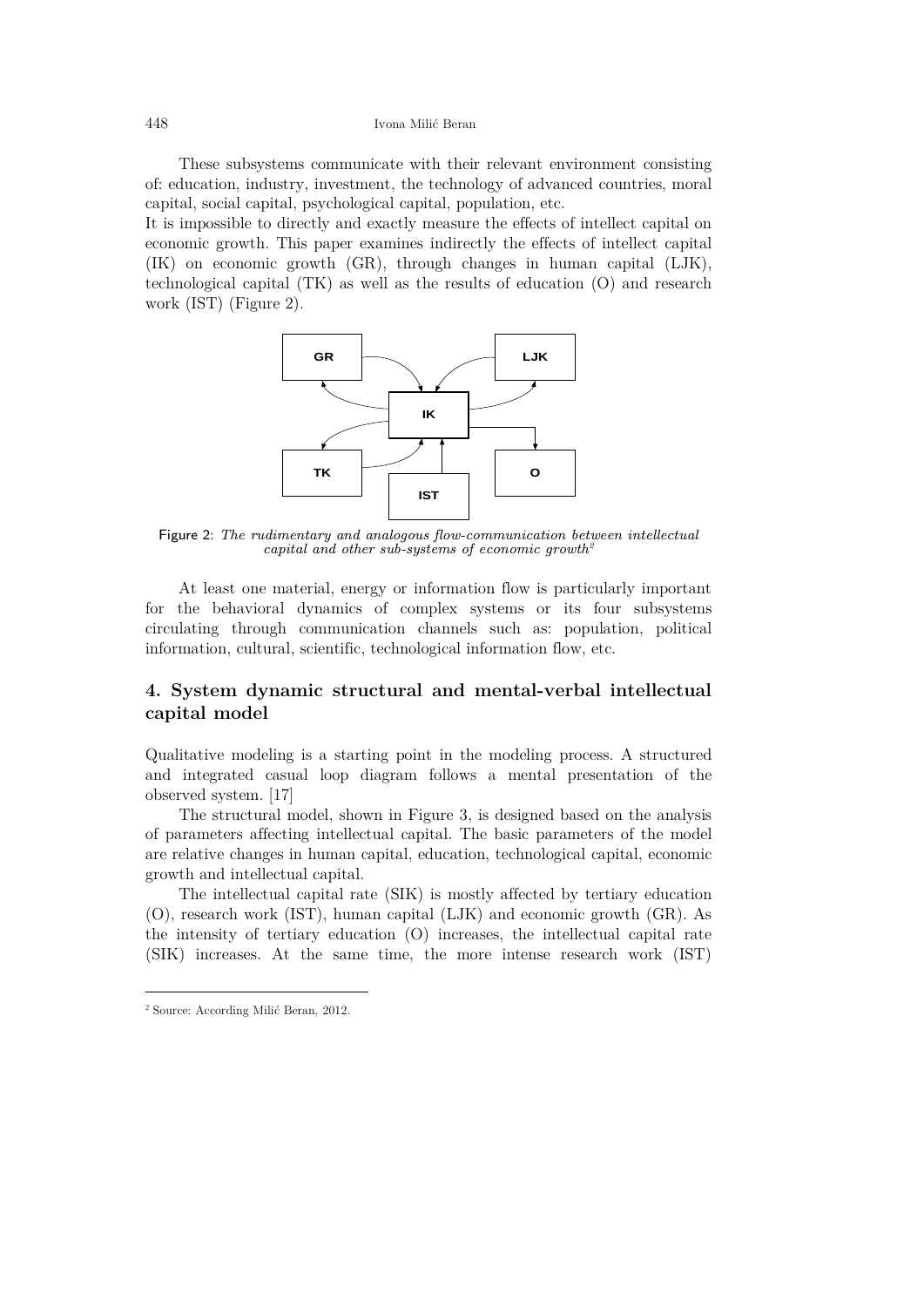These subsystems communicate with their relevant environment consisting of: education, industry, investment, the technology of advanced countries, moral capital, social capital, psychological capital, population, etc.

It is impossible to directly and exactly measure the effects of intellect capital on economic growth. This paper examines indirectly the effects of intellect capital (IK) on economic growth (GR), through changes in human capital (LJK), technological capital (TK) as well as the results of education (O) and research work (IST) (Figure 2).



Figure 2: The rudimentary and analogous flow-communication between intellectual capital and other sub-systems of economic growth<sup>[2](#page-3-0)</sup>

At least one material, energy or information flow is particularly important for the behavioral dynamics of complex systems or its four subsystems circulating through communication channels such as: population, political information, cultural, scientific, technological information flow, etc.

## **4. System dynamic structural and mental-verbal intellectual capital model**

Qualitative modeling is a starting point in the modeling process. A structured and integrated casual loop diagram follows a mental presentation of the observed system. [17]

The structural model, shown in Figure 3, is designed based on the analysis of parameters affecting intellectual capital. The basic parameters of the model are relative changes in human capital, education, technological capital, economic growth and intellectual capital.

The intellectual capital rate (SIK) is mostly affected by tertiary education (O), research work (IST), human capital (LJK) and economic growth (GR). As the intensity of tertiary education (O) increases, the intellectual capital rate (SIK) increases. At the same time, the more intense research work (IST)

 $\overline{a}$ 

<span id="page-3-0"></span><sup>2</sup> Source: According Milić Beran, 2012.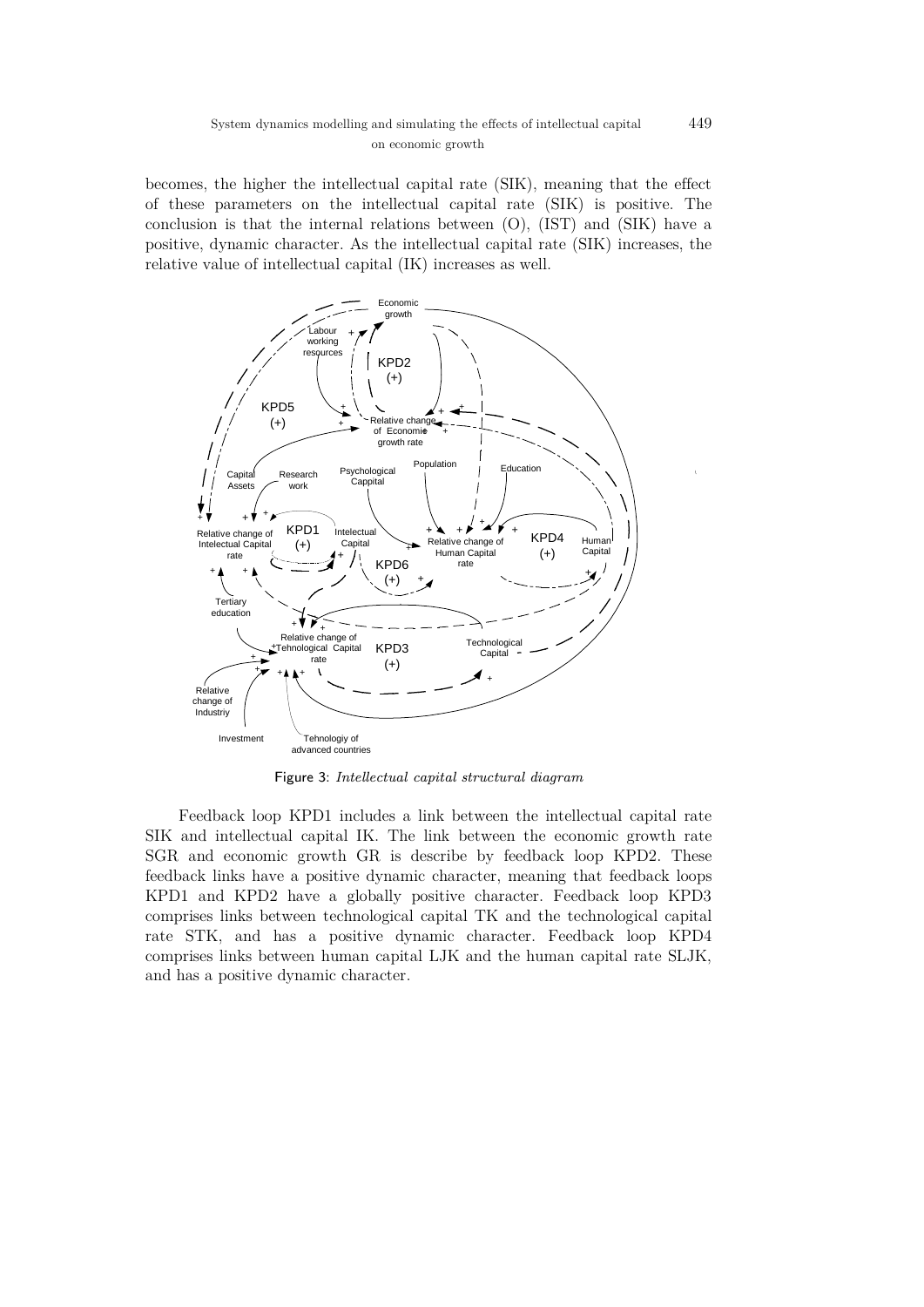becomes, the higher the intellectual capital rate (SIK), meaning that the effect of these parameters on the intellectual capital rate (SIK) is positive. The conclusion is that the internal relations between (O), (IST) and (SIK) have a positive, dynamic character. As the intellectual capital rate (SIK) increases, the relative value of intellectual capital (IK) increases as well.



Figure 3: Intellectual capital structural diagram

Feedback loop KPD1 includes a link between the intellectual capital rate SIK and intellectual capital IK. The link between the economic growth rate SGR and economic growth GR is describe by feedback loop KPD2. These feedback links have a positive dynamic character, meaning that feedback loops KPD1 and KPD2 have a globally positive character. Feedback loop KPD3 comprises links between technological capital TK and the technological capital rate STK, and has a positive dynamic character. Feedback loop KPD4 comprises links between human capital LJK and the human capital rate SLJK, and has a positive dynamic character.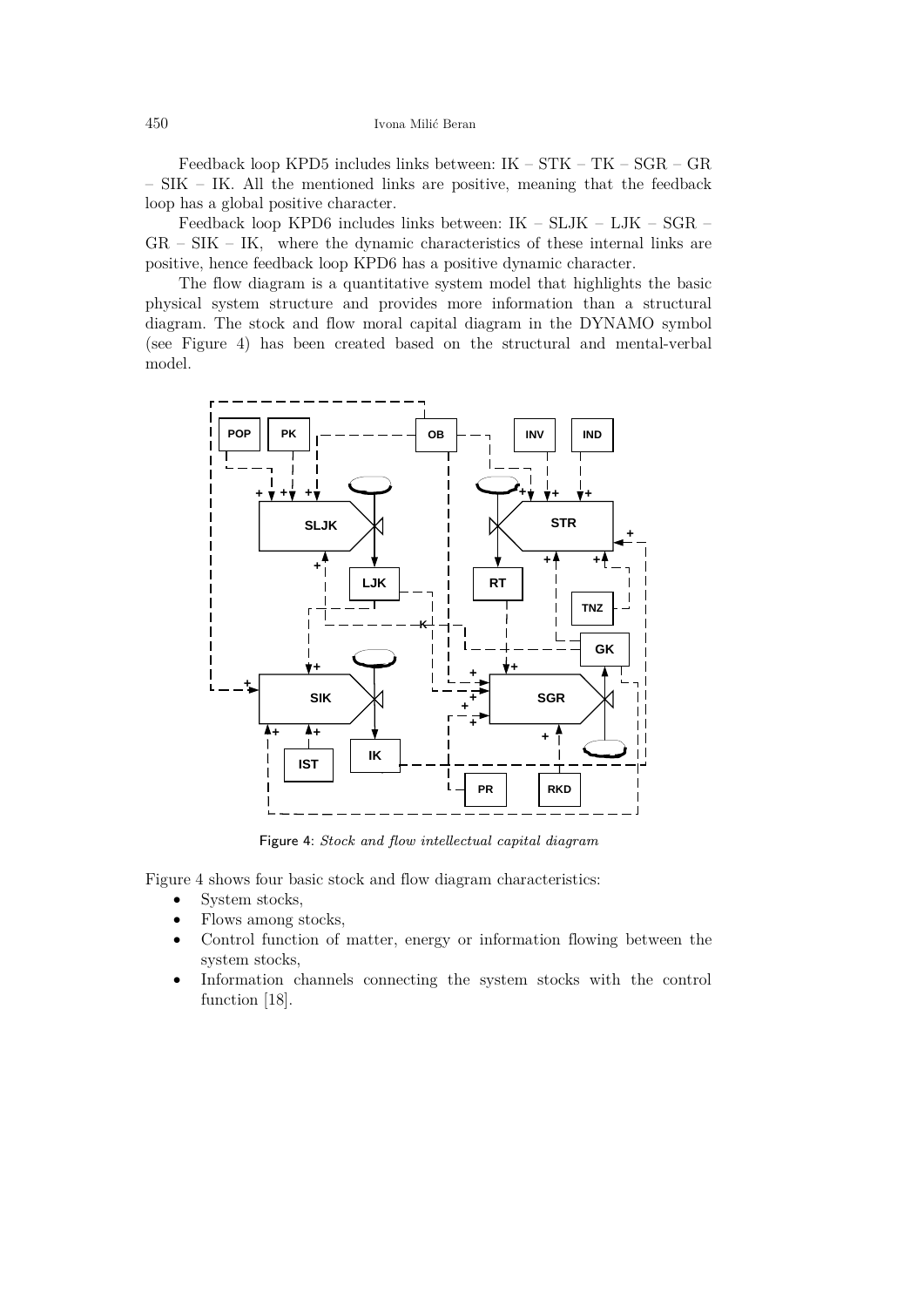Feedback loop KPD5 includes links between: IK – STK – TK – SGR – GR – SIK – IK. All the mentioned links are positive, meaning that the feedback loop has a global positive character.

Feedback loop KPD6 includes links between: IK – SLJK – LJK – SGR –  $GR - SIK - IK$ , where the dynamic characteristics of these internal links are positive, hence feedback loop KPD6 has a positive dynamic character.

The flow diagram is a quantitative system model that highlights the basic physical system structure and provides more information than a structural diagram. The stock and flow moral capital diagram in the DYNAMO symbol (see Figure 4) has been created based on the structural and mental-verbal model.



Figure 4: Stock and flow intellectual capital diagram

Figure 4 shows four basic stock and flow diagram characteristics:

- System stocks,
- Flows among stocks,
- Control function of matter, energy or information flowing between the system stocks,
- Information channels connecting the system stocks with the control function [18].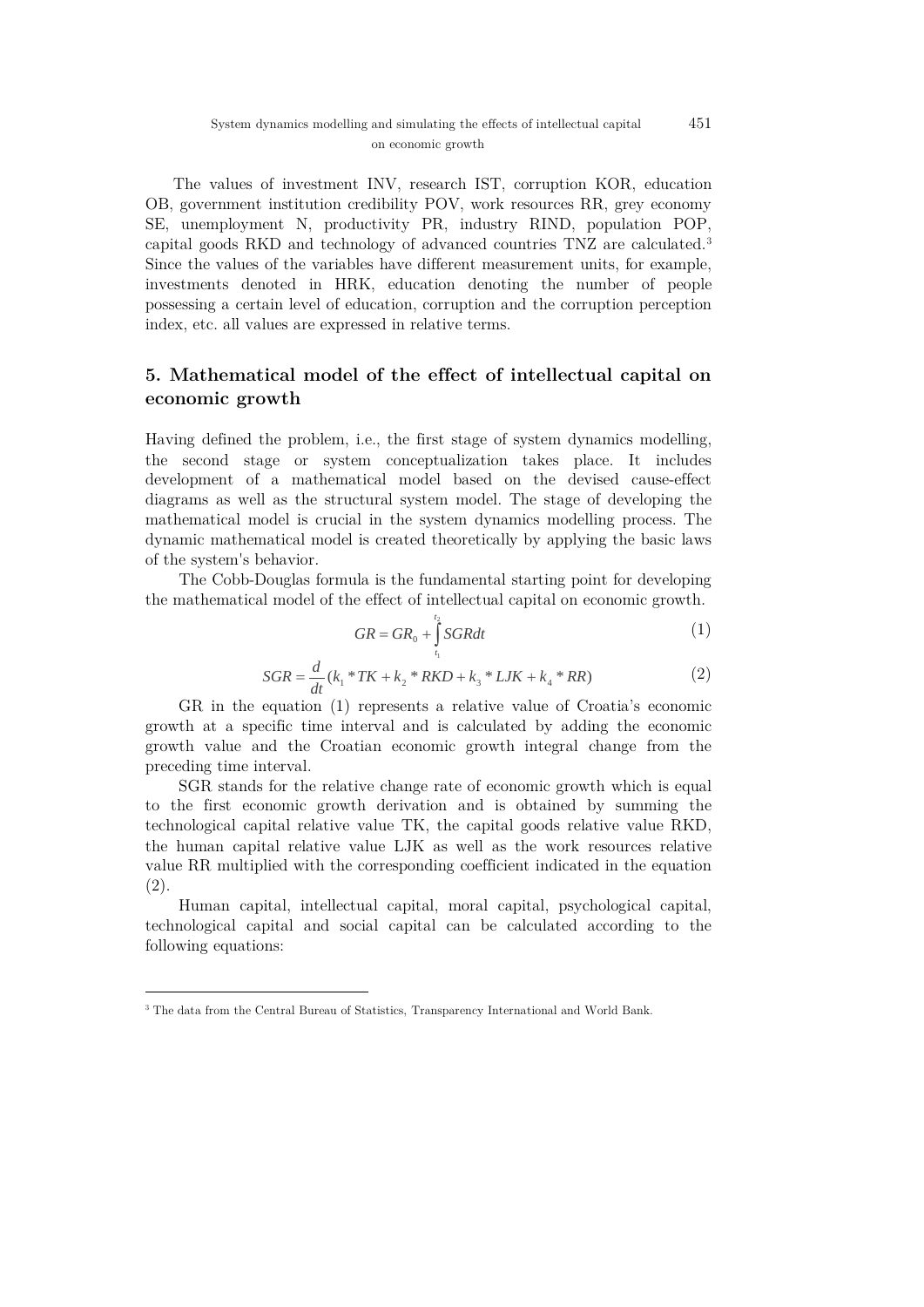The values of investment INV, research IST, corruption KOR, education OB, government institution credibility POV, work resources RR, grey economy SE, unemployment N, productivity PR, industry RIND, population POP, capital goods RKD and technology of advanced countries TNZ are calculated.[3](#page-6-0) Since the values of the variables have different measurement units, for example, investments denoted in HRK, education denoting the number of people possessing a certain level of education, corruption and the corruption perception index, etc. all values are expressed in relative terms.

## **5. Mathematical model of the effect of intellectual capital on economic growth**

Having defined the problem, i.e., the first stage of system dynamics modelling, the second stage or system conceptualization takes place. It includes development of a mathematical model based on the devised cause-effect diagrams as well as the structural system model. The stage of developing the mathematical model is crucial in the system dynamics modelling process. The dynamic mathematical model is created theoretically by applying the basic laws of the system's behavior.

The Cobb-Douglas formula is the fundamental starting point for developing the mathematical model of the effect of intellectual capital on economic growth.

$$
GR = GR_0 + \int_{t_1}^{t_2} SGRdt
$$
 (1)

$$
SGR = \frac{d}{dt}(k_1 * TK + k_2 * RKD + k_3 * LJK + k_4 * RR)
$$
 (2)

GR in the equation (1) represents a relative value of Croatia's economic growth at a specific time interval and is calculated by adding the economic growth value and the Croatian economic growth integral change from the preceding time interval.

SGR stands for the relative change rate of economic growth which is equal to the first economic growth derivation and is obtained by summing the technological capital relative value TK, the capital goods relative value RKD, the human capital relative value LJK as well as the work resources relative value RR multiplied with the corresponding coefficient indicated in the equation (2).

Human capital, intellectual capital, moral capital, psychological capital, technological capital and social capital can be calculated according to the following equations:

 $\overline{a}$ 

<span id="page-6-0"></span><sup>3</sup> The data from the Central Bureau of Statistics, Transparency International and World Bank.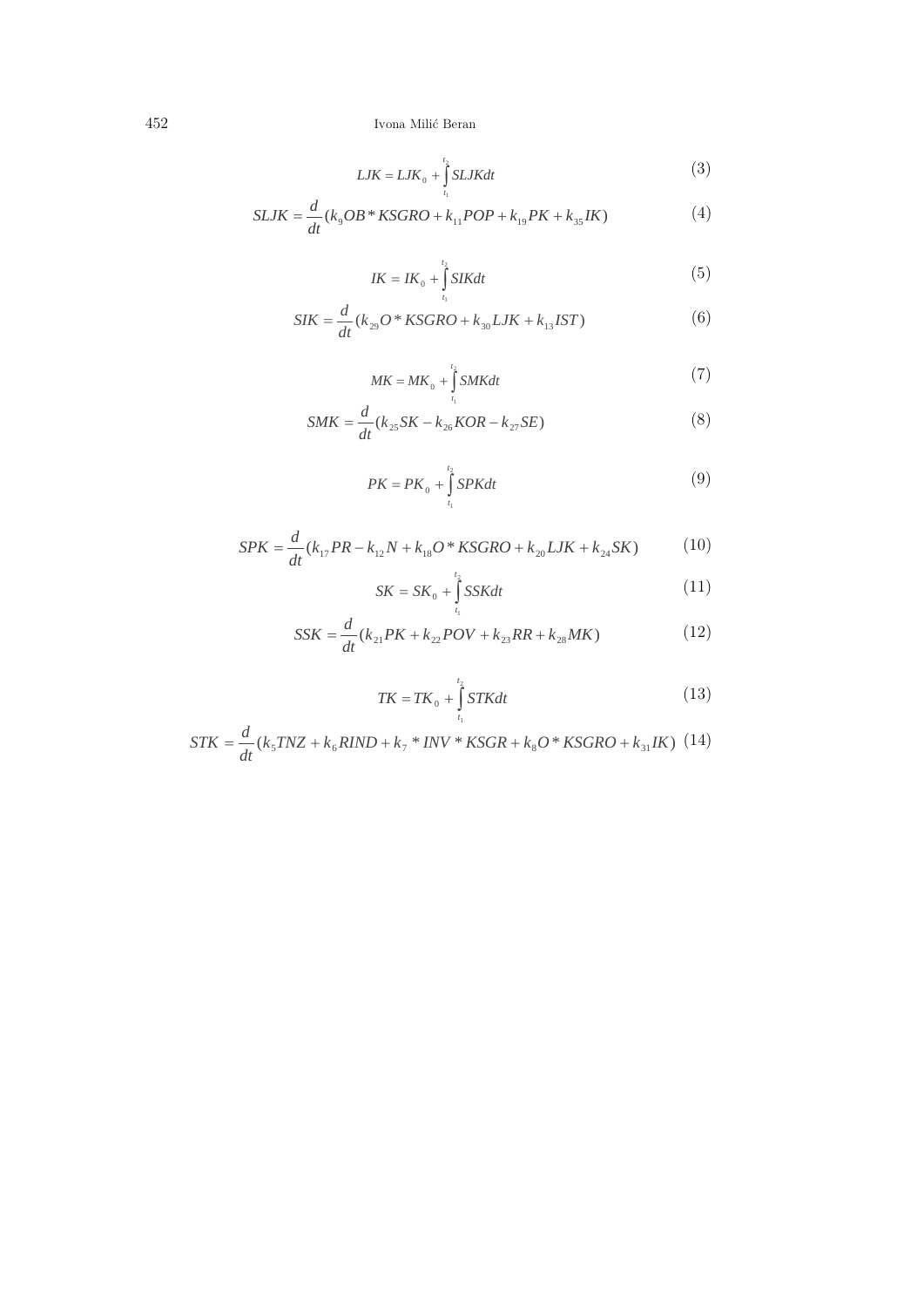$$
LJK = LJK_0 + \int_{t_1}^{t_2} SLJKdt
$$
 (3)

$$
SLJK = \frac{d}{dt}(k_9OB * KSGRO + k_{11}POP + k_{19}PK + k_{35}IK)
$$
\n(4)

$$
IK = IK_0 + \int_{t_1}^{t_2} SIKdt
$$
\n
$$
\tag{5}
$$

$$
SIK = \frac{d}{dt}(k_{29}O * KSGRO + k_{30}LJK + k_{13}IST)
$$
\n(6)

$$
MK = MK_0 + \int_{t_1}^{t_2} SMKdt
$$
\n<sup>(7)</sup>

$$
SMK = \frac{d}{dt}(k_{25}SK - k_{26}KOR - k_{27}SE)
$$
\n(8)

$$
PK = PK_0 + \int_{t_1}^{t_2} SPKdt
$$
\n(9)

$$
SPK = \frac{d}{dt}(k_{17}PR - k_{12}N + k_{18}O * KSGRO + k_{20}LJK + k_{24}SK)
$$
 (10)

$$
SK = SK_0 + \int_{t_1}^{t_2} SSKdt
$$
 (11)

$$
SSK = \frac{d}{dt}(k_{21}PK + k_{22}POV + k_{23}RR + k_{28}MK)
$$
\n(12)

$$
TK = TK_0 + \int_{t_1}^{t_2} STKdt
$$
\n(13)

$$
STK = \frac{d}{dt}(k_{5}TNZ + k_{6}RIND + k_{7} * INV * KSGR + k_{8}O * KSGRO + k_{31}IK)
$$
 (14)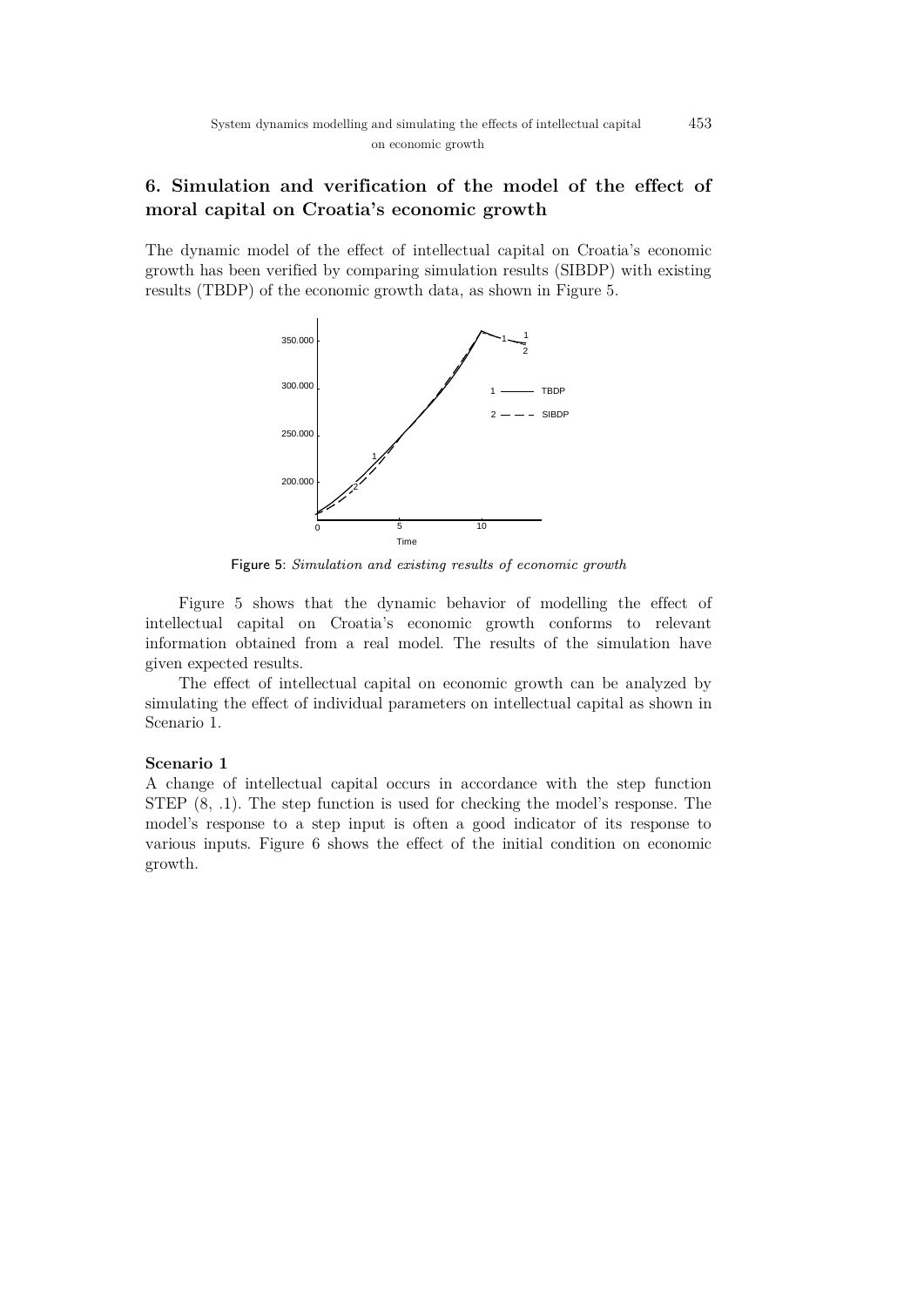# **6. Simulation and verification of the model of the effect of moral capital on Croatia's economic growth**

The dynamic model of the effect of intellectual capital on Croatia's economic growth has been verified by comparing simulation results (SIBDP) with existing results (TBDP) of the economic growth data, as shown in Figure 5.



Figure 5: Simulation and existing results of economic growth

Figure 5 shows that the dynamic behavior of modelling the effect of intellectual capital on Croatia's economic growth conforms to relevant information obtained from a real model. The results of the simulation have given expected results.

The effect of intellectual capital on economic growth can be analyzed by simulating the effect of individual parameters on intellectual capital as shown in Scenario 1.

#### **Scenario 1**

A change of intellectual capital occurs in accordance with the step function STEP (8, .1). The step function is used for checking the model's response. The model's response to a step input is often a good indicator of its response to various inputs. Figure 6 shows the effect of the initial condition on economic growth.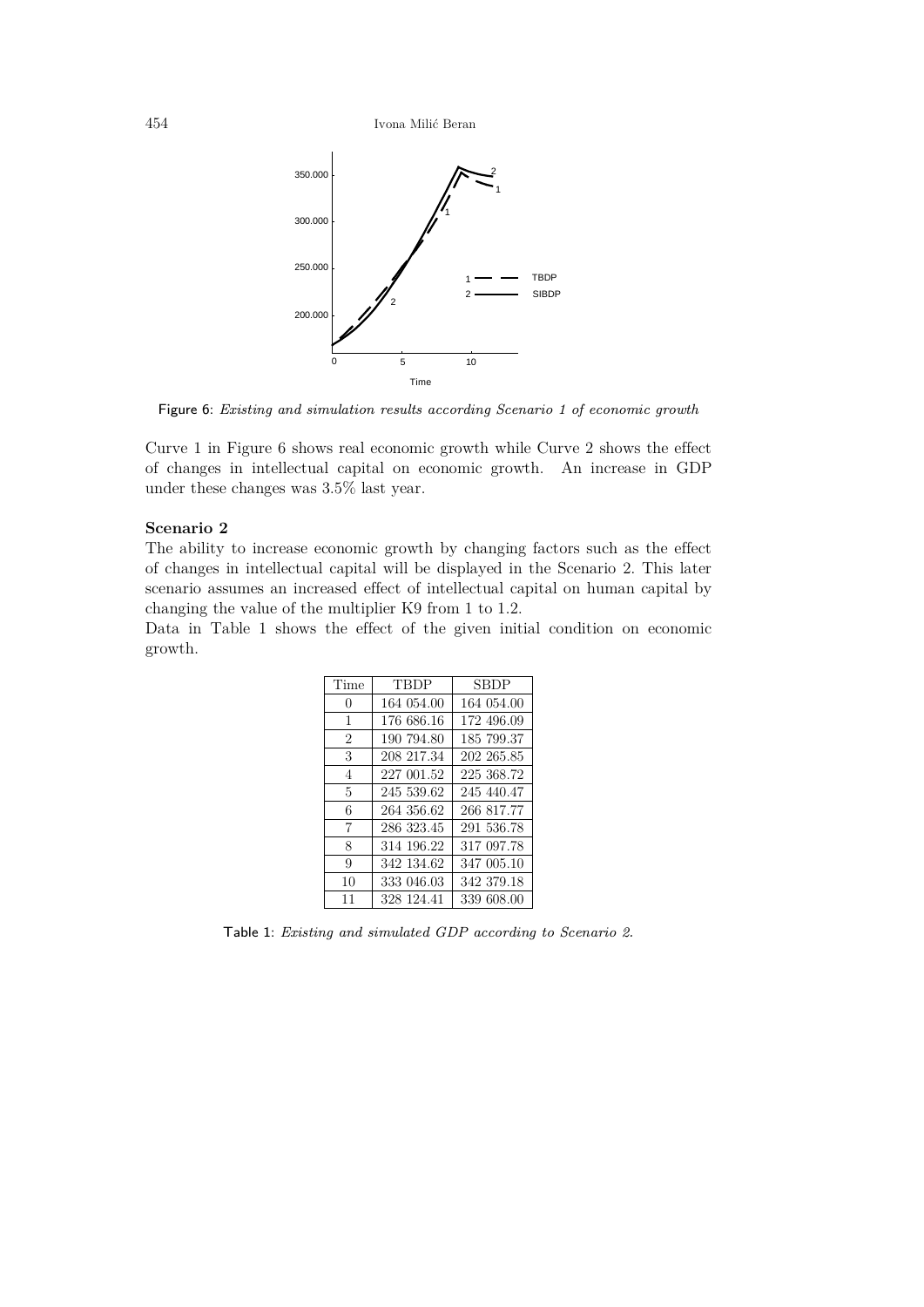

Figure 6: Existing and simulation results according Scenario 1 of economic growth

Curve 1 in Figure 6 shows real economic growth while Curve 2 shows the effect of changes in intellectual capital on economic growth. An increase in GDP under these changes was 3.5% last year.

#### **Scenario 2**

The ability to increase economic growth by changing factors such as the effect of changes in intellectual capital will be displayed in the Scenario 2. This later scenario assumes an increased effect of intellectual capital on human capital by changing the value of the multiplier K9 from 1 to 1.2.

Data in Table 1 shows the effect of the given initial condition on economic growth.

| Time           | <b>TBDP</b> | SBDP       |
|----------------|-------------|------------|
| $\Omega$       | 164 054.00  | 164 054.00 |
| 1              | 176 686.16  | 172 496.09 |
| $\overline{2}$ | 190 794.80  | 185 799.37 |
| 3              | 208 217.34  | 202 265.85 |
| $\overline{4}$ | 227 001.52  | 225 368.72 |
| 5              | 245 539.62  | 245 440.47 |
| 6              | 264 356.62  | 266 817.77 |
| 7              | 286 323.45  | 291 536.78 |
| 8              | 314 196.22  | 317 097.78 |
| 9              | 342 134.62  | 347 005.10 |
| 10             | 333 046.03  | 342 379.18 |
| 11             | 328 124.41  | 339 608.00 |

Table 1: Existing and simulated GDP according to Scenario 2.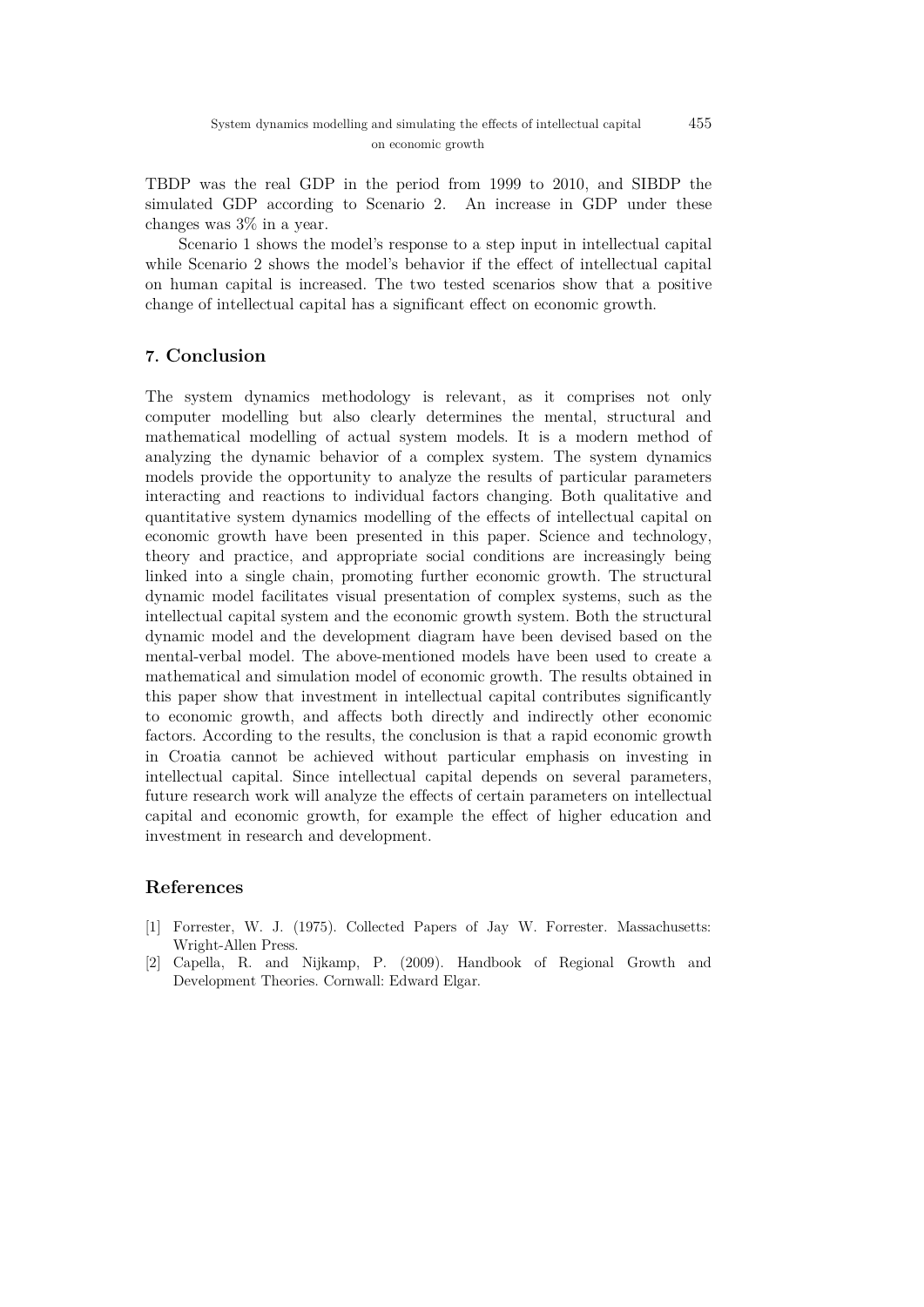TBDP was the real GDP in the period from 1999 to 2010, and SIBDP the simulated GDP according to Scenario 2. An increase in GDP under these changes was 3% in a year.

Scenario 1 shows the model's response to a step input in intellectual capital while Scenario 2 shows the model's behavior if the effect of intellectual capital on human capital is increased. The two tested scenarios show that a positive change of intellectual capital has a significant effect on economic growth.

## **7. Conclusion**

The system dynamics methodology is relevant, as it comprises not only computer modelling but also clearly determines the mental, structural and mathematical modelling of actual system models. It is a modern method of analyzing the dynamic behavior of a complex system. The system dynamics models provide the opportunity to analyze the results of particular parameters interacting and reactions to individual factors changing. Both qualitative and quantitative system dynamics modelling of the effects of intellectual capital on economic growth have been presented in this paper. Science and technology, theory and practice, and appropriate social conditions are increasingly being linked into a single chain, promoting further economic growth. The structural dynamic model facilitates visual presentation of complex systems, such as the intellectual capital system and the economic growth system. Both the structural dynamic model and the development diagram have been devised based on the mental-verbal model. The above-mentioned models have been used to create a mathematical and simulation model of economic growth. The results obtained in this paper show that investment in intellectual capital contributes significantly to economic growth, and affects both directly and indirectly other economic factors. According to the results, the conclusion is that a rapid economic growth in Croatia cannot be achieved without particular emphasis on investing in intellectual capital. Since intellectual capital depends on several parameters, future research work will analyze the effects of certain parameters on intellectual capital and economic growth, for example the effect of higher education and investment in research and development.

### **References**

- [1] Forrester, W. J. (1975). Collected Papers of Jay W. Forrester. Massachusetts: Wright-Allen Press.
- [2] Capella, R. and Nijkamp, P. (2009). Handbook of Regional Growth and Development Theories. Cornwall: Edward Elgar.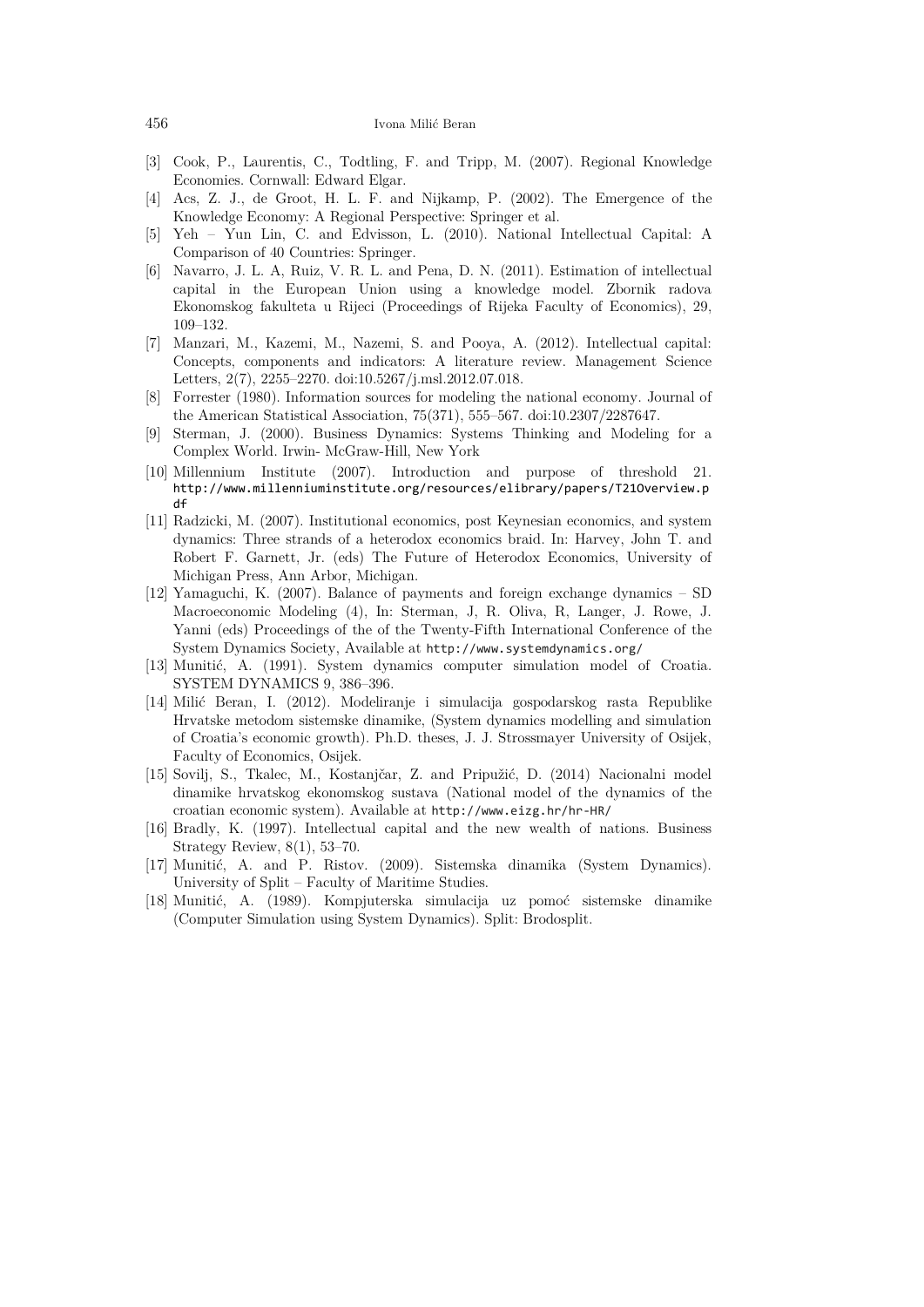- [3] Cook, P., Laurentis, C., Todtling, F. and Tripp, M. (2007). Regional Knowledge Economies. Cornwall: Edward Elgar.
- [4] Acs, Z. J., de Groot, H. L. F. and Nijkamp, P. (2002). The Emergence of the Knowledge Economy: A Regional Perspective: Springer et al.
- [5] Yeh Yun Lin, C. and Edvisson, L. (2010). National Intellectual Capital: A Comparison of 40 Countries: Springer.
- [6] Navarro, J. L. A, Ruiz, V. R. L. and Pena, D. N. (2011). Estimation of intellectual capital in the European Union using a knowledge model. Zbornik radova Ekonomskog fakulteta u Rijeci (Proceedings of Rijeka Faculty of Economics), 29, 109–132.
- [7] Manzari, M., Kazemi, M., Nazemi, S. and Pooya, A. (2012). Intellectual capital: Concepts, components and indicators: A literature review. Management Science Letters, 2(7), 2255–2270. doi:10.5267/j.msl.2012.07.018.
- [8] Forrester (1980). Information sources for modeling the national economy. Journal of the American Statistical Association, 75(371), 555–567. doi:10.2307/2287647.
- [9] Sterman, J. (2000). Business Dynamics: Systems Thinking and Modeling for a Complex World. Irwin- McGraw-Hill, New York
- [10] Millennium Institute (2007). Introduction and purpose of threshold 21. [http://www.millenniumi](http://www.millennium/)nstitute.org/resources/elibrary/papers/T21Overview.p df
- [11] Radzicki, M. (2007). Institutional economics, post Keynesian economics, and system dynamics: Three strands of a heterodox economics braid. In: Harvey, John T. and Robert F. Garnett, Jr. (eds) The Future of Heterodox Economics, University of Michigan Press, Ann Arbor, Michigan.
- [12] Yamaguchi, K. (2007). Balance of payments and foreign exchange dynamics SD Macroeconomic Modeling (4), In: Sterman, J, R. Oliva, R, Langer, J. Rowe, J. Yanni (eds) Proceedings of the of the Twenty-Fifth International Conference of the System Dynamics Society, Available at http://www.systemdynamics.org/
- [13] Munitić, A. (1991). System dynamics computer simulation model of Croatia. SYSTEM DYNAMICS 9, 386–396.
- [14] Milić Beran, I. (2012). Modeliranje i simulacija gospodarskog rasta Republike Hrvatske metodom sistemske dinamike, (System dynamics modelling and simulation of Croatia's economic growth). Ph.D. theses, J. J. Strossmayer University of Osijek, Faculty of Economics, Osijek.
- [15] Sovilj, S., Tkalec, M., Kostanjčar, Z. and Pripužić, D. (2014) Nacionalni model dinamike hrvatskog ekonomskog sustava (National model of the dynamics of the croatian economic system). Available at http://www.eizg.hr/hr-HR/
- [16] Bradly, K. (1997). Intellectual capital and the new wealth of nations. Business Strategy Review, 8(1), 53–70.
- [17] Munitić, A. and P. Ristov. (2009). Sistemska dinamika (System Dynamics). University of Split – Faculty of Maritime Studies.
- [18] Munitić, A. (1989). Kompjuterska simulacija uz pomoć sistemske dinamike (Computer Simulation using System Dynamics). Split: Brodosplit.